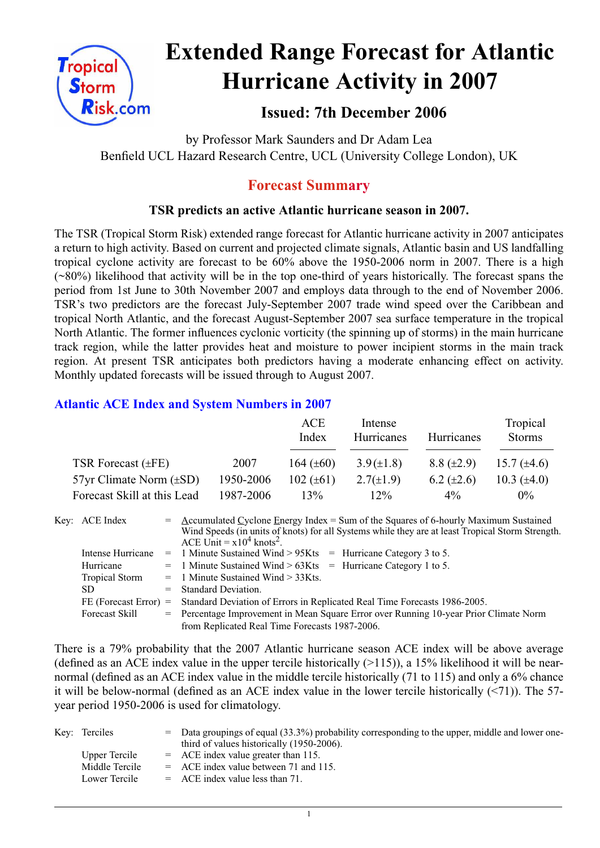

# **Extended Range Forecast for Atlantic Hurricane Activity in 2007**

# **Issued: 7th December 2006**

by Professor Mark Saunders and Dr Adam Lea Benfield UCL Hazard Research Centre, UCL (University College London), UK

# **Forecast Summary**

# **TSR predicts an active Atlantic hurricane season in 2007.**

The TSR (Tropical Storm Risk) extended range forecast for Atlantic hurricane activity in 2007 anticipates a return to high activity. Based on current and projected climate signals, Atlantic basin and US landfalling tropical cyclone activity are forecast to be 60% above the 1950-2006 norm in 2007. There is a high (~80%) likelihood that activity will be in the top one-third of years historically. The forecast spans the period from 1st June to 30th November 2007 and employs data through to the end of November 2006. TSR's two predictors are the forecast July-September 2007 trade wind speed over the Caribbean and tropical North Atlantic, and the forecast August-September 2007 sea surface temperature in the tropical North Atlantic. The former influences cyclonic vorticity (the spinning up of storms) in the main hurricane track region, while the latter provides heat and moisture to power incipient storms in the main track region. At present TSR anticipates both predictors having a moderate enhancing effect on activity. Monthly updated forecasts will be issued through to August 2007.

## **Atlantic ACE Index and System Numbers in 2007**

|                                |           | ACE<br>Index   | Intense<br>Hurricanes | Hurricanes        | Tropical<br><b>Storms</b> |
|--------------------------------|-----------|----------------|-----------------------|-------------------|---------------------------|
| TSR Forecast $(\pm FE)$        | 2007      | 164 $(\pm 60)$ | $3.9(\pm1.8)$         | $8.8 (\pm 2.9)$   | 15.7 $(\pm 4.6)$          |
| $57yr$ Climate Norm $(\pm SD)$ | 1950-2006 | $102 (\pm 61)$ | $2.7(\pm 1.9)$        | $6.2 \ (\pm 2.6)$ | 10.3 $(\pm 4.0)$          |
| Forecast Skill at this Lead    | 1987-2006 | 13%            | 12%                   | $4\%$             | $0\%$                     |

| Key: ACE Index          | $=$ Accumulated Cyclone Energy Index = Sum of the Squares of 6-hourly Maximum Sustained<br>Wind Speeds (in units of knots) for all Systems while they are at least Tropical Storm Strength.<br>ACE Unit = $x10^4$ knots <sup>2</sup> . |  |  |
|-------------------------|----------------------------------------------------------------------------------------------------------------------------------------------------------------------------------------------------------------------------------------|--|--|
| Intense Hurricane       | $=$ 1 Minute Sustained Wind > 95Kts $=$ Hurricane Category 3 to 5.                                                                                                                                                                     |  |  |
| Hurricane               | $=$ 1 Minute Sustained Wind > 63Kts = Hurricane Category 1 to 5.                                                                                                                                                                       |  |  |
| <b>Tropical Storm</b>   | $=$ 1 Minute Sustained Wind $>$ 33Kts.                                                                                                                                                                                                 |  |  |
| SD.                     | $=$ Standard Deviation.                                                                                                                                                                                                                |  |  |
| $FE$ (Forecast Error) = | Standard Deviation of Errors in Replicated Real Time Forecasts 1986-2005.                                                                                                                                                              |  |  |
| <b>Forecast Skill</b>   | = Percentage Improvement in Mean Square Error over Running 10-year Prior Climate Norm                                                                                                                                                  |  |  |
|                         | from Replicated Real Time Forecasts 1987-2006.                                                                                                                                                                                         |  |  |

There is a 79% probability that the 2007 Atlantic hurricane season ACE index will be above average (defined as an ACE index value in the upper tercile historically  $(>115)$ ), a 15% likelihood it will be nearnormal (defined as an ACE index value in the middle tercile historically (71 to 115) and only a 6% chance it will be below-normal (defined as an ACE index value in the lower tercile historically (<71)). The 57 year period 1950-2006 is used for climatology.

| Key: Terciles  | $=$ Data groupings of equal (33.3%) probability corresponding to the upper, middle and lower one-<br>third of values historically (1950-2006). |
|----------------|------------------------------------------------------------------------------------------------------------------------------------------------|
| Upper Tercile  | $=$ ACE index value greater than 115.                                                                                                          |
| Middle Tercile | $=$ ACE index value between 71 and 115.                                                                                                        |
| Lower Tercile  | $=$ ACE index value less than 71.                                                                                                              |

1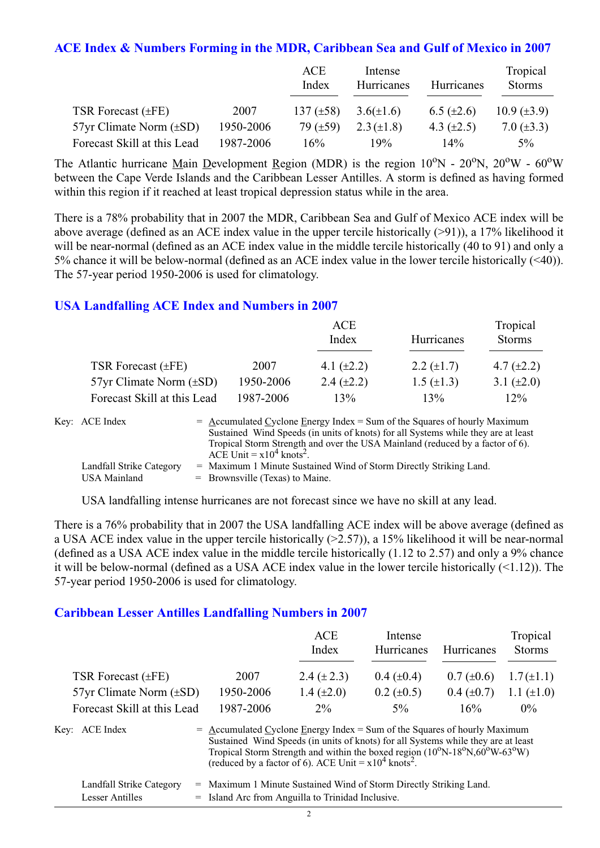#### **ACE Index & Numbers Forming in the MDR, Caribbean Sea and Gulf of Mexico in 2007**

|                                |           | ACE<br>Index   | Intense<br>Hurricanes | <b>Hurricanes</b> | Tropical<br><b>Storms</b> |
|--------------------------------|-----------|----------------|-----------------------|-------------------|---------------------------|
| TSR Forecast $(\pm FE)$        | 2007      | 137 $(\pm 58)$ | $3.6(\pm 1.6)$        | $6.5 \ (\pm 2.6)$ | $10.9 \ (\pm 3.9)$        |
| $57yr$ Climate Norm $(\pm SD)$ | 1950-2006 | 79 $(\pm 59)$  | $2.3 (\pm 1.8)$       | 4.3 $(\pm 2.5)$   | 7.0 $(\pm 3.3)$           |
| Forecast Skill at this Lead    | 1987-2006 | 16%            | 19%                   | 14%               | $5\%$                     |

The Atlantic hurricane Main Development Region (MDR) is the region  $10^{\circ}$ N -  $20^{\circ}$ N,  $20^{\circ}$ W -  $60^{\circ}$ W between the Cape Verde Islands and the Caribbean Lesser Antilles. A storm is defined as having formed within this region if it reached at least tropical depression status while in the area.

There is a 78% probability that in 2007 the MDR, Caribbean Sea and Gulf of Mexico ACE index will be above average (defined as an ACE index value in the upper tercile historically (>91)), a 17% likelihood it will be near-normal (defined as an ACE index value in the middle tercile historically (40 to 91) and only a 5% chance it will be below-normal (defined as an ACE index value in the lower tercile historically (<40)). The 57-year period 1950-2006 is used for climatology.

#### **USA Landfalling ACE Index and Numbers in 2007**

|                                |           | ACE<br>Index    | Hurricanes        | Tropical<br><b>Storms</b> |
|--------------------------------|-----------|-----------------|-------------------|---------------------------|
| TSR Forecast $(\pm FE)$        | 2007      | 4.1 $(\pm 2.2)$ | 2.2 $(\pm 1.7)$   | 4.7 $(\pm 2.2)$           |
| $57yr$ Climate Norm $(\pm SD)$ | 1950-2006 | 2.4 $(\pm 2.2)$ | $1.5 \ (\pm 1.3)$ | 3.1 $(\pm 2.0)$           |
| Forecast Skill at this Lead    | 1987-2006 | 13%             | 13%               | 12%                       |

| Key: ACE Index           | $=$ Accumulated Cyclone Energy Index $=$ Sum of the Squares of hourly Maximum     |
|--------------------------|-----------------------------------------------------------------------------------|
|                          | Sustained Wind Speeds (in units of knots) for all Systems while they are at least |
|                          | Tropical Storm Strength and over the USA Mainland (reduced by a factor of 6).     |
|                          | ACE Unit = $x10^4$ knots <sup>2</sup> .                                           |
| Landfall Strike Category | = Maximum 1 Minute Sustained Wind of Storm Directly Striking Land.                |
| USA Mainland             | $=$ Brownsville (Texas) to Maine.                                                 |

USA landfalling intense hurricanes are not forecast since we have no skill at any lead.

There is a 76% probability that in 2007 the USA landfalling ACE index will be above average (defined as a USA ACE index value in the upper tercile historically (>2.57)), a 15% likelihood it will be near-normal (defined as a USA ACE index value in the middle tercile historically (1.12 to 2.57) and only a 9% chance it will be below-normal (defined as a USA ACE index value in the lower tercile historically (<1.12)). The 57-year period 1950-2006 is used for climatology.

#### **Caribbean Lesser Antilles Landfalling Numbers in 2007**

|                                |                                                                             | <b>ACE</b><br>Index                                                                                                                                                                                                                                                 | Intense<br>Hurricanes | Hurricanes      | Tropical<br><b>Storms</b> |
|--------------------------------|-----------------------------------------------------------------------------|---------------------------------------------------------------------------------------------------------------------------------------------------------------------------------------------------------------------------------------------------------------------|-----------------------|-----------------|---------------------------|
| TSR Forecast $(\pm FE)$        | 2007                                                                        | 2.4 $(\pm 2.3)$                                                                                                                                                                                                                                                     | $0.4~(\pm 0.4)$       | $0.7 (\pm 0.6)$ | $1.7(\pm 1.1)$            |
| $57yr$ Climate Norm $(\pm SD)$ | 1950-2006                                                                   | 1.4 $(\pm 2.0)$                                                                                                                                                                                                                                                     | $0.2 \ (\pm 0.5)$     | $0.4~(\pm 0.7)$ | 1.1 $(\pm 1.0)$           |
| Forecast Skill at this Lead    | 1987-2006                                                                   | $2\%$                                                                                                                                                                                                                                                               | $5\%$                 | 16%             | $0\%$                     |
| Key: ACE Index                 | $=$ Accumulated Cyclone Energy Index = Sum of the Squares of hourly Maximum | Sustained Wind Speeds (in units of knots) for all Systems while they are at least<br>Tropical Storm Strength and within the boxed region $(10^{\circ}N-18^{\circ}N,60^{\circ}W-63^{\circ}W)$<br>(reduced by a factor of 6). ACE Unit = $x10^4$ knots <sup>2</sup> . |                       |                 |                           |

| Landfall Strike Category | = Maximum 1 Minute Sustained Wind of Storm Directly Striking Land. |
|--------------------------|--------------------------------------------------------------------|
| Lesser Antilles          | = Island Arc from Anguilla to Trinidad Inclusive.                  |